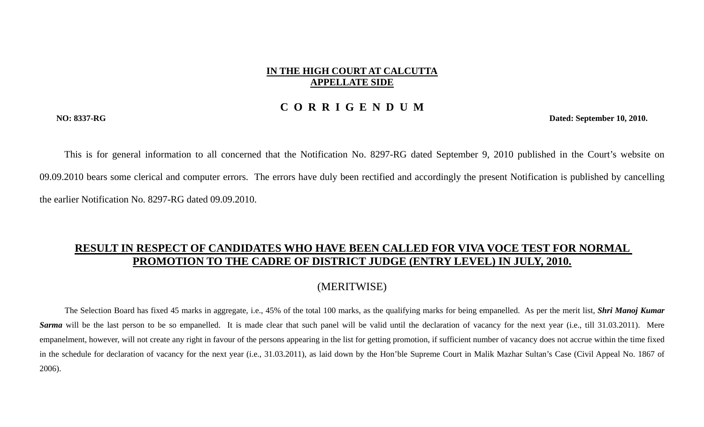## **IN THE HIGH COURT AT CALCUTTA APPELLATE SIDE**

## **C O R R I G E N D U M**

**NO: 8337-RG Dated: September 10, 2010.** 

This is for general information to all concerned that the Notification No. 8297-RG dated September 9, 2010 published in the Court's website on 09.09.2010 bears some clerical and computer errors. The errors have duly been rectified and accordingly the present Notification is published by cancelling the earlier Notification No. 8297-RG dated 09.09.2010.

## **RESULT IN RESPECT OF CANDIDATES WHO HAVE BEEN CALLED FOR VIVA VOCE TEST FOR NORMAL PROMOTION TO THE CADRE OF DISTRICT JUDGE (ENTRY LEVEL) IN JULY, 2010.**

## (MERITWISE)

The Selection Board has fixed 45 marks in aggregate, i.e., 45% of the total 100 marks, as the qualifying marks for being empanelled. As per the merit list, *Shri Manoj Kumar*  **Sarma** will be the last person to be so empanelled. It is made clear that such panel will be valid until the declaration of vacancy for the next year (i.e., till 31.03.2011). Mere empanelment, however, will not create any right in favour of the persons appearing in the list for getting promotion, if sufficient number of vacancy does not accrue within the time fixed in the schedule for declaration of vacancy for the next year (i.e., 31.03.2011), as laid down by the Hon'ble Supreme Court in Malik Mazhar Sultan's Case (Civil Appeal No. 1867 of 2006).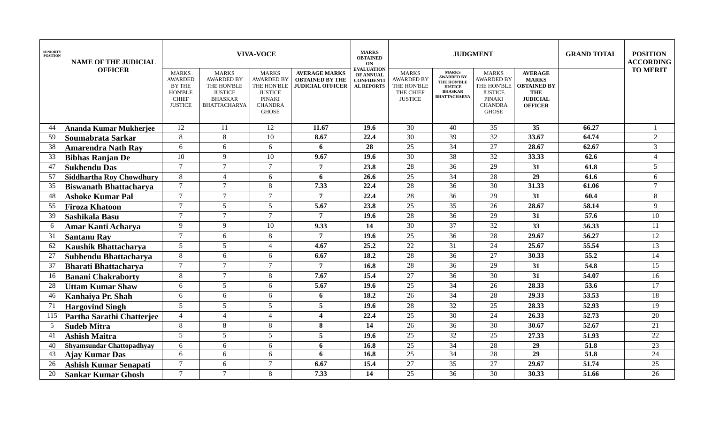| <b>SENIORTY</b><br><b>POSITION</b> | <b>NAME OF THE JUDICIAL</b>   | <b>VIVA-VOCE</b>                                                                                    |                                                                                                             |                                                                                                                       |                                                                           |                                                                                 |                                                                                 | <b>JUDGMENT</b>                                                                                                    | <b>GRAND TOTAL</b>                                                                                             | <b>POSITION</b><br><b>ACCORDING</b>                                                                     |       |                 |
|------------------------------------|-------------------------------|-----------------------------------------------------------------------------------------------------|-------------------------------------------------------------------------------------------------------------|-----------------------------------------------------------------------------------------------------------------------|---------------------------------------------------------------------------|---------------------------------------------------------------------------------|---------------------------------------------------------------------------------|--------------------------------------------------------------------------------------------------------------------|----------------------------------------------------------------------------------------------------------------|---------------------------------------------------------------------------------------------------------|-------|-----------------|
|                                    | <b>OFFICER</b>                | <b>MARKS</b><br><b>AWARDED</b><br><b>BY THE</b><br><b>HON'BLE</b><br><b>CHIEF</b><br><b>JUSTICE</b> | <b>MARKS</b><br><b>AWARDED BY</b><br>THE HON'BLE<br><b>JUSTICE</b><br><b>BHASKAR</b><br><b>BHATTACHARYA</b> | <b>MARKS</b><br><b>AWARDED BY</b><br>THE HON'BLE<br><b>JUSTICE</b><br><b>PINAKI</b><br><b>CHANDRA</b><br><b>GHOSE</b> | <b>AVERAGE MARKS</b><br><b>OBTAINED BY THE</b><br><b>JUDICIAL OFFICER</b> | <b>EVALUATION</b><br><b>OF ANNUAL</b><br><b>CONFIDENTI</b><br><b>AL REPORTS</b> | <b>MARKS</b><br><b>AWARDED BY</b><br>THE HON'BLE<br>THE CHIEF<br><b>JUSTICE</b> | <b>MARKS</b><br><b>AWARDED BY</b><br><b>THE HON'BLE</b><br><b>JUSTICE</b><br><b>BHASKAR</b><br><b>BHATTACHARYA</b> | <b>MARKS</b><br><b>AWARDED BY</b><br>THE HON'BLE<br><b>JUSTICE</b><br>PINAKI<br><b>CHANDRA</b><br><b>GHOSE</b> | <b>AVERAGE</b><br><b>MARKS</b><br><b>OBTAINED BY</b><br><b>THE</b><br><b>JUDICIAL</b><br><b>OFFICER</b> |       | <b>TO MERIT</b> |
| 44                                 | Ananda Kumar Mukherjee        | 12                                                                                                  | 11                                                                                                          | 12                                                                                                                    | 11.67                                                                     | 19.6                                                                            | 30                                                                              | 40                                                                                                                 | 35                                                                                                             | 35                                                                                                      | 66.27 |                 |
| 59                                 | Soumabrata Sarkar             | 8                                                                                                   | 8                                                                                                           | 10                                                                                                                    | 8.67                                                                      | 22.4                                                                            | $\overline{30}$                                                                 | $\overline{39}$                                                                                                    | $\overline{32}$                                                                                                | 33.67                                                                                                   | 64.74 | $\overline{2}$  |
| 38                                 | <b>Amarendra Nath Ray</b>     | 6                                                                                                   | 6                                                                                                           | 6                                                                                                                     | 6                                                                         | 28                                                                              | $\overline{25}$                                                                 | 34                                                                                                                 | $\overline{27}$                                                                                                | 28.67                                                                                                   | 62.67 | $\overline{3}$  |
| 33                                 | <b>Bibhas Ranjan De</b>       | 10                                                                                                  | 9                                                                                                           | 10                                                                                                                    | 9.67                                                                      | 19.6                                                                            | 30                                                                              | 38                                                                                                                 | 32                                                                                                             | 33.33                                                                                                   | 62.6  | $\overline{4}$  |
| 47                                 | Sukhendu Das                  | $\tau$                                                                                              | $\tau$                                                                                                      | $\overline{7}$                                                                                                        | 7                                                                         | 23.8                                                                            | 28                                                                              | 36                                                                                                                 | 29                                                                                                             | 31                                                                                                      | 61.8  | $5\overline{)}$ |
| 57                                 | Siddhartha Roy Chowdhury      | 8                                                                                                   | $\overline{4}$                                                                                              | 6                                                                                                                     | 6                                                                         | 26.6                                                                            | $\overline{25}$                                                                 | 34                                                                                                                 | 28                                                                                                             | $\overline{29}$                                                                                         | 61.6  | 6               |
| 35                                 | <b>Biswanath Bhattacharya</b> | $\tau$                                                                                              | $\tau$                                                                                                      | 8                                                                                                                     | 7.33                                                                      | 22.4                                                                            | $\overline{28}$                                                                 | $\overline{36}$                                                                                                    | 30                                                                                                             | 31.33                                                                                                   | 61.06 | $\tau$          |
| 48                                 | <b>Ashoke Kumar Pal</b>       | $\tau$                                                                                              | $\tau$                                                                                                      | $\tau$                                                                                                                | $\overline{7}$                                                            | 22.4                                                                            | 28                                                                              | $\overline{36}$                                                                                                    | 29                                                                                                             | $\overline{31}$                                                                                         | 60.4  | 8               |
| 55                                 | <b>Firoza Khatoon</b>         | $\tau$                                                                                              | $\overline{5}$                                                                                              | $\overline{5}$                                                                                                        | 5.67                                                                      | 23.8                                                                            | $\overline{25}$                                                                 | $\overline{35}$                                                                                                    | 26                                                                                                             | 28.67                                                                                                   | 58.14 | 9               |
| 39                                 | Sashikala Basu                | $\tau$                                                                                              | $\tau$                                                                                                      | $\tau$                                                                                                                | $\overline{7}$                                                            | 19.6                                                                            | $\overline{28}$                                                                 | $\overline{36}$                                                                                                    | 29                                                                                                             | 31                                                                                                      | 57.6  | 10              |
| -6                                 | Amar Kanti Acharya            | 9                                                                                                   | 9                                                                                                           | 10                                                                                                                    | 9.33                                                                      | 14                                                                              | $\overline{30}$                                                                 | $\overline{37}$                                                                                                    | 32                                                                                                             | $\overline{33}$                                                                                         | 56.33 | 11              |
| 31                                 | <b>Santanu Ray</b>            | $\tau$                                                                                              | 6                                                                                                           | 8                                                                                                                     | $\overline{7}$                                                            | 19.6                                                                            | 25                                                                              | 36                                                                                                                 | 28                                                                                                             | 29.67                                                                                                   | 56.27 | 12              |
| 62                                 | Kaushik Bhattacharya          | 5                                                                                                   | 5 <sup>5</sup>                                                                                              | $\overline{4}$                                                                                                        | 4.67                                                                      | 25.2                                                                            | 22                                                                              | 31                                                                                                                 | 24                                                                                                             | 25.67                                                                                                   | 55.54 | 13              |
| 27                                 | Subhendu Bhattacharya         | 8                                                                                                   | 6                                                                                                           | 6                                                                                                                     | 6.67                                                                      | $\overline{18.2}$                                                               | $\overline{28}$                                                                 | $\overline{36}$                                                                                                    | 27                                                                                                             | 30.33                                                                                                   | 55.2  | 14              |
| 37                                 | <b>Bharati Bhattacharya</b>   | $\tau$                                                                                              | $\tau$                                                                                                      | $\tau$                                                                                                                | $\overline{7}$                                                            | 16.8                                                                            | 28                                                                              | 36                                                                                                                 | 29                                                                                                             | 31                                                                                                      | 54.8  | 15              |
| 16                                 | <b>Banani Chakraborty</b>     | 8                                                                                                   | $\tau$                                                                                                      | 8                                                                                                                     | 7.67                                                                      | 15.4                                                                            | $\overline{27}$                                                                 | $\overline{36}$                                                                                                    | $\overline{30}$                                                                                                | $\overline{31}$                                                                                         | 54.07 | 16              |
| 28                                 | <b>Uttam Kumar Shaw</b>       | 6                                                                                                   | $\mathfrak{S}$                                                                                              | 6                                                                                                                     | 5.67                                                                      | 19.6                                                                            | 25                                                                              | $\overline{34}$                                                                                                    | $\overline{26}$                                                                                                | 28.33                                                                                                   | 53.6  | 17              |
| 46                                 | Kanhaiya Pr. Shah             | 6                                                                                                   | 6                                                                                                           | 6                                                                                                                     | 6                                                                         | 18.2                                                                            | 26                                                                              | 34                                                                                                                 | 28                                                                                                             | 29.33                                                                                                   | 53.53 | 18              |
| 71                                 | <b>Hargovind Singh</b>        | 5 <sup>5</sup>                                                                                      | $5\overline{)}$                                                                                             | 5                                                                                                                     | 5                                                                         | 19.6                                                                            | 28                                                                              | $\overline{32}$                                                                                                    | 25                                                                                                             | 28.33                                                                                                   | 52.93 | 19              |
| 115                                | Partha Sarathi Chatterjee     | $\overline{4}$                                                                                      | $\overline{4}$                                                                                              | $\overline{4}$                                                                                                        | $\overline{\mathbf{4}}$                                                   | 22.4                                                                            | 25                                                                              | 30                                                                                                                 | 24                                                                                                             | 26.33                                                                                                   | 52.73 | 20              |
| $\overline{5}$                     | <b>Sudeb Mitra</b>            | 8                                                                                                   | $8\,$                                                                                                       | 8                                                                                                                     | 8                                                                         | 14                                                                              | 26                                                                              | 36                                                                                                                 | $\overline{30}$                                                                                                | 30.67                                                                                                   | 52.67 | 21              |
| 41                                 | <b>Ashish Maitra</b>          | 5                                                                                                   | 5 <sup>5</sup>                                                                                              | 5                                                                                                                     | 5                                                                         | 19.6                                                                            | $\overline{25}$                                                                 | $\overline{32}$                                                                                                    | $\overline{25}$                                                                                                | 27.33                                                                                                   | 51.93 | 22              |
| 40                                 | Shyamsundar Chattopadhyay     | 6                                                                                                   | 6                                                                                                           | 6                                                                                                                     | 6                                                                         | 16.8                                                                            | 25                                                                              | 34                                                                                                                 | 28                                                                                                             | 29                                                                                                      | 51.8  | 23              |
| 43                                 | Ajay Kumar Das                | 6                                                                                                   | 6                                                                                                           | 6                                                                                                                     | 6                                                                         | 16.8                                                                            | 25                                                                              | 34                                                                                                                 | 28                                                                                                             | $\overline{29}$                                                                                         | 51.8  | 24              |
| 26                                 | Ashish Kumar Senapati         | $\tau$                                                                                              | 6                                                                                                           | $\tau$                                                                                                                | 6.67                                                                      | 15.4                                                                            | 27                                                                              | 35                                                                                                                 | 27                                                                                                             | 29.67                                                                                                   | 51.74 | 25              |
| 20                                 | <b>Sankar Kumar Ghosh</b>     | $\tau$                                                                                              | $\tau$                                                                                                      | 8                                                                                                                     | 7.33                                                                      | 14                                                                              | 25                                                                              | 36                                                                                                                 | 30                                                                                                             | 30.33                                                                                                   | 51.66 | 26              |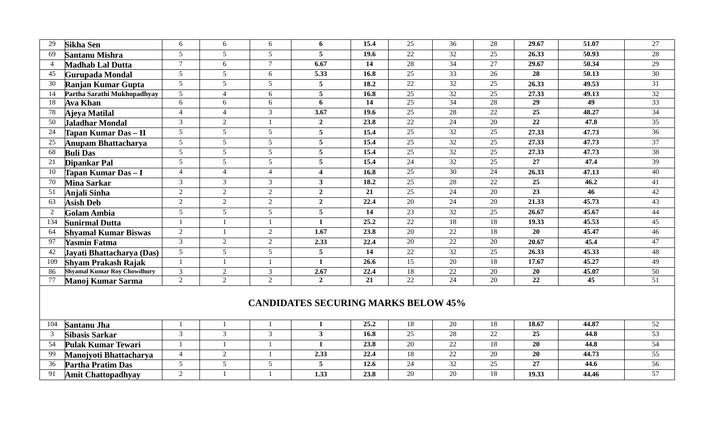| 29             | <b>Sikha Sen</b>                           | 6              | 6               | 6              | 6                       | 15.4 | 25              | 36              | 28              | 29.67           | 51.07           | 27              |  |
|----------------|--------------------------------------------|----------------|-----------------|----------------|-------------------------|------|-----------------|-----------------|-----------------|-----------------|-----------------|-----------------|--|
| 69             | <b>Santanu Mishra</b>                      | 5              | $5^{\circ}$     | 5              | 5                       | 19.6 | $\overline{22}$ | $\overline{32}$ | 25              | 26.33           | 50.93           | 28              |  |
| $\overline{4}$ | <b>Madhab Lal Dutta</b>                    | $\tau$         | 6               | $\overline{7}$ | 6.67                    | 14   | $\overline{28}$ | $\overline{34}$ | 27              | 29.67           | 50.34           | 29              |  |
| 45             | <b>Gurupada Mondal</b>                     | $\mathfrak{S}$ | $\mathfrak{S}$  | 6              | 5.33                    | 16.8 | 25              | $\overline{33}$ | 26              | 28              | 50.13           | 30              |  |
| 30             | Ranjan Kumar Gupta                         | 5 <sup>5</sup> | $5\overline{)}$ | 5              | $\overline{5}$          | 18.2 | 22              | 32              | 25              | 26.33           | 49.53           | 31              |  |
| -14            | Partha Sarathi Mukhopadhyay                | 5              | $\Delta$        | 6              | 5                       | 16.8 | 25              | 32              | $\overline{25}$ | 27.33           | 49.13           | $\overline{32}$ |  |
| 18             | <b>Ava Khan</b>                            | 6              | 6               | 6              | 6                       | 14   | $\overline{25}$ | $\overline{34}$ | 28              | $\overline{29}$ | $\overline{49}$ | 33              |  |
| 78             | Ajeya Matilal                              | $\overline{4}$ | $\overline{4}$  | 3              | $\frac{1}{3.67}$        | 19.6 | $\overline{25}$ | $\overline{28}$ | $\overline{22}$ | $\overline{25}$ | 48.27           | $\overline{34}$ |  |
| 50             | Jaladhar Mondal                            | 3              | 2               | $\overline{1}$ | $\overline{2}$          | 23.8 | 22              | $\overline{24}$ | $\overline{20}$ | $\overline{22}$ | 47.8            | $\overline{35}$ |  |
| 24             | Tapan Kumar Das - II                       | 5 <sup>5</sup> | $5\overline{)}$ | 5              | 5                       | 15.4 | $\overline{25}$ | $\overline{32}$ | 25              | 27.33           | 47.73           | 36              |  |
| 25             | Anupam Bhattacharya                        | 5 <sup>5</sup> | $\overline{5}$  | 5 <sup>5</sup> | $\overline{5}$          | 15.4 | $\overline{25}$ | $\overline{32}$ | $\overline{25}$ | 27.33           | 47.73           | $\overline{37}$ |  |
| 68             | <b>Buli Das</b>                            | $\mathfrak{S}$ | $\overline{5}$  | $\mathfrak{S}$ | 5                       | 15.4 | $\overline{25}$ | $\overline{32}$ | 25              | 27.33           | 47.73           | 38              |  |
| 21             | <b>Dipankar Pal</b>                        | 5              | $\overline{5}$  | 5 <sup>5</sup> | 5                       | 15.4 | 24              | $\overline{32}$ | 25              | 27              | 47.4            | $\overline{39}$ |  |
| 10             | Tapan Kumar Das - I                        | $\overline{4}$ | $\overline{4}$  | $\overline{4}$ | $\overline{\mathbf{4}}$ | 16.8 | 25              | 30              | 24              | 26.33           | 47.13           | 40              |  |
| 70             | <b>Mina Sarkar</b>                         | 3              | $\overline{3}$  | $\mathfrak{Z}$ | $\overline{3}$          | 18.2 | 25              | $\overline{28}$ | 22              | $\overline{25}$ | 46.2            | 41              |  |
| 51             | Anjali Sinha                               | $\overline{2}$ | 2               | $\overline{2}$ | $\overline{2}$          | 21   | 25              | $\overline{24}$ | 20              | $\overline{23}$ | 46              | 42              |  |
| 63             | <b>Asish Deb</b>                           | $\overline{2}$ | 2               | $\overline{2}$ | $\overline{2}$          | 22.4 | 20              | 24              | 20              | 21.33           | 45.73           | 43              |  |
| 2              | <b>Golam Ambia</b>                         | $5^{\circ}$    | $\mathfrak{S}$  | $\mathfrak{S}$ | 5                       | 14   | 23              | $\overline{32}$ | 25              | 26.67           | 45.67           | 44              |  |
| 134            | <b>Sunirmal Dutta</b>                      |                |                 | $\mathbf{1}$   | $\mathbf{1}$            | 25.2 | $\overline{22}$ | 18              | 18              | 19.33           | 45.53           | 45              |  |
| 64             | <b>Shyamal Kumar Biswas</b>                | $\overline{2}$ |                 | $\overline{2}$ | $\overline{1.67}$       | 23.8 | $\overline{20}$ | $\overline{22}$ | 18              | 20              | 45.47           | 46              |  |
| -97            | <b>Yasmin Fatma</b>                        | $\mathfrak{Z}$ | 2               | $\overline{2}$ | 2.33                    | 22.4 | 20              | 22              | 20              | 20.67           | 45.4            | 47              |  |
| 42             | Jayati Bhattacharya (Das)                  | 5 <sup>5</sup> | $5\overline{)}$ | 5              | $\overline{5}$          | 14   | 22              | 32              | 25              | 26.33           | 45.33           | 48              |  |
| 109            | <b>Shyam Prakash Rajak</b>                 |                |                 | $\mathbf{1}$   | $\mathbf{1}$            | 26.6 | $\overline{15}$ | $\overline{20}$ | 18              | 17.67           | 45.27           | 49              |  |
| 86             | <b>Shyamal Kumar Roy Chowdhury</b>         | $\overline{3}$ | $\overline{2}$  | $\mathfrak{Z}$ | 2.67                    | 22.4 | 18              | $22\,$          | 20              | 20              | 45.07           | 50              |  |
| 77             | Manoj Kumar Sarma                          | $\overline{2}$ | 2               | 2              | $\overline{2}$          | 21   | $\overline{22}$ | $\overline{24}$ | 20              | 22              | $\overline{45}$ | 51              |  |
|                | <b>CANDIDATES SECURING MARKS BELOW 45%</b> |                |                 |                |                         |      |                 |                 |                 |                 |                 |                 |  |
| 104            | <b>Santanu Jha</b>                         |                |                 | $\mathbf{1}$   | 1                       | 25.2 | 18              | 20              | 18              | 18.67           | 44.87           | 52              |  |
| 3              | <b>Sibasis Sarkar</b>                      | 3              | $\mathfrak{Z}$  | 3              | $\mathbf{3}$            | 16.8 | 25              | 28              | 22              | 25              | 44.8            | 53              |  |
| 54             | <b>Pulak Kumar Tewari</b>                  | $\mathbf{1}$   | $\mathbf{1}$    | $\mathbf{1}$   | $\mathbf{1}$            | 23.8 | 20              | 22              | 18              | 20              | 44.8            | 54              |  |
| 99             | Manojyoti Bhattacharya                     | $\overline{4}$ | 2               | $\mathbf{1}$   | 2.33                    | 22.4 | 18              | 22              | 20              | 20              | 44.73           | 55              |  |
| 36             | <b>Partha Pratim Das</b>                   | 5              | $5\overline{)}$ | 5              | 5                       | 12.6 | 24              | $\overline{32}$ | 25              | 27              | 44.6            | 56              |  |

**Amit Chattopadhyay** 2 1 1 **1.33 23.8** 20 20 18 **19.33 44.46** 57

**Partha Pratim Das** 5<br> **5 1 5 1 1 1 1 1 2 2**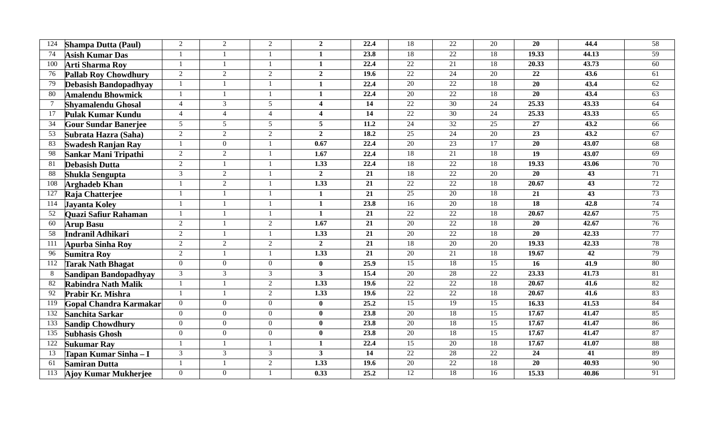| 124 | <b>Shampa Dutta (Paul)</b>   | $\overline{2}$ | $\overline{2}$ | $\overline{2}$ | $\overline{2}$          | 22.4            | 18              | $\overline{22}$ | $\overline{20}$ | $\overline{20}$ | 44.4            | $\overline{58}$ |
|-----|------------------------------|----------------|----------------|----------------|-------------------------|-----------------|-----------------|-----------------|-----------------|-----------------|-----------------|-----------------|
| 74  | <b>Asish Kumar Das</b>       | $\mathbf{1}$   |                |                | 1                       | 23.8            | 18              | $\overline{22}$ | 18              | 19.33           | 44.13           | 59              |
| 100 | <b>Arti Sharma Roy</b>       |                |                |                | $\mathbf{1}$            | 22.4            | $\overline{22}$ | $\overline{21}$ | 18              | 20.33           | 43.73           | $\overline{60}$ |
| 76  | <b>Pallab Roy Chowdhury</b>  | $\overline{2}$ | $\overline{2}$ | $\overline{2}$ | $\overline{2}$          | 19.6            | $\overline{22}$ | $\overline{24}$ | $\overline{20}$ | 22              | 43.6            | 61              |
| 79  | <b>Debasish Bandopadhyay</b> | $\mathbf{1}$   |                |                | $\mathbf{1}$            | 22.4            | $\overline{20}$ | 22              | 18              | $\overline{20}$ | 43.4            | 62              |
| 80  | <b>Amalendu Bhowmick</b>     | $\mathbf{1}$   |                |                | $\mathbf{1}$            | 22.4            | $\overline{20}$ | 22              | $\overline{18}$ | $\overline{20}$ | 43.4            | 63              |
|     | <b>Shyamalendu Ghosal</b>    | $\overline{4}$ | 3              | 5 <sup>5</sup> | $\overline{\mathbf{4}}$ | 14              | 22              | $\overline{30}$ | 24              | 25.33           | 43.33           | 64              |
| 17  | Pulak Kumar Kundu            | $\overline{4}$ | $\overline{4}$ | $\overline{4}$ | $\overline{\mathbf{4}}$ | $\overline{14}$ | 22              | 30              | 24              | 25.33           | 43.33           | 65              |
| 34  | <b>Gour Sundar Banerjee</b>  | 5 <sup>5</sup> | 5 <sup>5</sup> | 5 <sup>5</sup> | 5                       | 11.2            | $\overline{24}$ | 32              | $\overline{25}$ | $\overline{27}$ | 43.2            | 66              |
| 53  | Subrata Hazra (Saha)         | $\overline{2}$ | $\overline{2}$ | $\overline{2}$ | $\overline{2}$          | 18.2            | 25              | $\overline{24}$ | 20              | $\overline{23}$ | 43.2            | 67              |
| 83  | <b>Swadesh Ranjan Ray</b>    |                | $\overline{0}$ |                | 0.67                    | 22.4            | $\overline{20}$ | $\overline{23}$ | 17              | 20              | 43.07           | 68              |
| -98 | Sankar Mani Tripathi         | $\overline{2}$ | 2              |                | 1.67                    | 22.4            | $\overline{18}$ | 21              | 18              | 19              | 43.07           | 69              |
| 81  | <b>Debasish Dutta</b>        | $\overline{2}$ |                |                | 1.33                    | 22.4            | 18              | 22              | 18              | 19.33           | 43.06           | 70              |
| 88  | <b>Shukla Sengupta</b>       | $\mathcal{E}$  | $\overline{2}$ |                | $\overline{2}$          | 21              | 18              | $\overline{22}$ | $\overline{20}$ | $\overline{20}$ | $\overline{43}$ | 71              |
| 108 | <b>Arghadeb Khan</b>         |                | $\overline{2}$ |                | 1.33                    | $\overline{21}$ | $\overline{22}$ | $\overline{22}$ | 18              | 20.67           | $\overline{43}$ | 72              |
| 127 | Raja Chatterjee              |                |                |                | $\mathbf{1}$            | $\overline{21}$ | $\overline{25}$ | $\overline{20}$ | 18              | 21              | $\overline{43}$ | 73              |
| 114 | <b>Javanta Kolev</b>         | $\mathbf{1}$   |                |                | $\mathbf{1}$            | 23.8            | 16              | 20              | 18              | $\overline{18}$ | 42.8            | 74              |
| 52  | Quazi Safiur Rahaman         |                |                |                | $\mathbf{1}$            | 21              | $\overline{22}$ | $\overline{22}$ | 18              | 20.67           | 42.67           | 75              |
| 60  | <b>Arup Basu</b>             | $\overline{2}$ |                | $\overline{2}$ | $\overline{1.67}$       | 21              | 20              | $\overline{22}$ | 18              | 20              | 42.67           | 76              |
| 58  | Indranil Adhikari            | $\overline{2}$ |                |                | 1.33                    | 21              | $\overline{20}$ | 22              | 18              | 20              | 42.33           | 77              |
| 111 | <b>Apurba Sinha Roy</b>      | $\overline{2}$ | $\overline{2}$ | $\overline{2}$ | $\overline{2}$          | $\overline{21}$ | 18              | $\overline{20}$ | $\overline{20}$ | 19.33           | 42.33           | 78              |
| 96  | <b>Sumitra Roy</b>           | $\overline{2}$ |                |                | 1.33                    | $\overline{21}$ | 20              | 21              | 18              | 19.67           | $\overline{42}$ | 79              |
| 112 | <b>Tarak Nath Bhagat</b>     | $\Omega$       | $\overline{0}$ | $\overline{0}$ | $\bf{0}$                | 25.9            | $\overline{15}$ | 18              | $\overline{15}$ | 16              | 41.9            | 80              |
| 8   | Sandipan Bandopadhyay        | $\overline{3}$ | $\overline{3}$ | $\overline{3}$ | $\overline{\mathbf{3}}$ | 15.4            | $\overline{20}$ | $\overline{28}$ | $\overline{22}$ | 23.33           | 41.73           | 81              |
| -82 | Rabindra Nath Malik          |                |                | $\overline{2}$ | 1.33                    | 19.6            | $\overline{22}$ | $\overline{22}$ | 18              | 20.67           | 41.6            | 82              |
| 92  | Prabir Kr. Mishra            | $\mathbf{1}$   |                | $\overline{2}$ | 1.33                    | 19.6            | 22              | $\overline{22}$ | 18              | 20.67           | 41.6            | 83              |
| 119 | Gopal Chandra Karmakar       | $\overline{0}$ | $\overline{0}$ | $\overline{0}$ | $\bf{0}$                | 25.2            | 15              | 19              | $\overline{15}$ | 16.33           | 41.53           | 84              |
| 132 | <b>Sanchita Sarkar</b>       | $\Omega$       | $\overline{0}$ | $\overline{0}$ | $\mathbf{0}$            | 23.8            | 20              | 18              | 15              | 17.67           | 41.47           | 85              |
| 133 | <b>Sandip Chowdhury</b>      | $\overline{0}$ | $\overline{0}$ | $\overline{0}$ | $\mathbf{0}$            | 23.8            | 20              | 18              | $\overline{15}$ | 17.67           | 41.47           | 86              |
| 135 | <b>Subhasis Ghosh</b>        | $\overline{0}$ | $\overline{0}$ | $\overline{0}$ | $\bf{0}$                | 23.8            | $\overline{20}$ | $\overline{18}$ | 15              | 17.67           | 41.47           | 87              |
| 122 | <b>Sukumar Ray</b>           |                |                |                | $\mathbf{1}$            | 22.4            | $\overline{15}$ | $\overline{20}$ | 18              | 17.67           | 41.07           | 88              |
| 13  | Tapan Kumar Sinha - I        | 3              | 3              | $\overline{3}$ | $\overline{\mathbf{3}}$ | $\overline{14}$ | $\overline{22}$ | $\overline{28}$ | 22              | $\overline{24}$ | $\overline{41}$ | 89              |
| 61  | <b>Samiran Dutta</b>         | $\mathbf{1}$   |                | $\overline{2}$ | 1.33                    | 19.6            | 20              | 22              | 18              | 20              | 40.93           | 90              |
| 113 | <b>Ajoy Kumar Mukherjee</b>  | $\overline{0}$ | $\overline{0}$ |                | 0.33                    | 25.2            | 12              | 18              | 16              | 15.33           | 40.86           | 91              |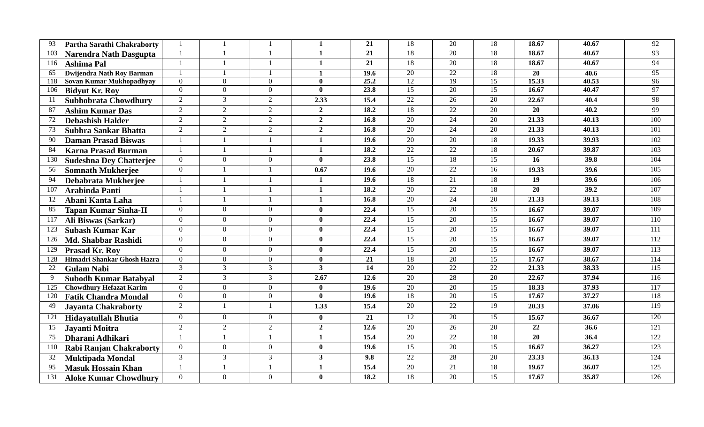| 93  | Partha Sarathi Chakraborty            |                |                |                | 1                       | $\overline{21}$   | 18              | $\overline{20}$ | 18              | 18.67           | 40.67 | $\overline{92}$  |
|-----|---------------------------------------|----------------|----------------|----------------|-------------------------|-------------------|-----------------|-----------------|-----------------|-----------------|-------|------------------|
|     | 103<br>Narendra Nath Dasgupta         |                |                |                | 1                       | $\overline{21}$   | 18              | 20              | 18              | 18.67           | 40.67 | 93               |
|     | 116<br>Ashima Pal                     |                |                |                | $\mathbf{1}$            | 21                | 18              | 20              | $\overline{18}$ | 18.67           | 40.67 | 94               |
|     | Dwijendra Nath Roy Barman<br>65       |                |                |                | $\mathbf{1}$            | 19.6              | 20              | 22              | 18              | 20              | 40.6  | 95               |
|     | Sovan Kumar Mukhopadhyay<br>118       | $\Omega$       | $\overline{0}$ | $\theta$       | $\mathbf{0}$            | 25.2              | 12              | 19              | 15              | 15.33           | 40.53 | 96               |
|     | 106<br><b>Bidyut Kr. Roy</b>          | $\overline{0}$ | $\overline{0}$ | $\overline{0}$ | $\mathbf{0}$            | 23.8              | $\overline{15}$ | 20              | $\overline{15}$ | 16.67           | 40.47 | 97               |
| -11 | Subhobrata Chowdhury                  | $\overline{2}$ | $\mathfrak{Z}$ | $\overline{2}$ | 2.33                    | 15.4              | $\overline{22}$ | 26              | 20              | 22.67           | 40.4  | 98               |
| 87  | <b>Ashim Kumar Das</b>                | $\overline{2}$ | $\overline{2}$ | $\overline{2}$ | $\overline{2}$          | 18.2              | 18              | 22              | 20              | 20              | 40.2  | 99               |
| 72  | <b>Debashish Halder</b>               | $\overline{2}$ | $\overline{2}$ | 2              | $\overline{2}$          | 16.8              | $\overline{20}$ | $\overline{24}$ | $\overline{20}$ | 21.33           | 40.13 | 100              |
| 73  | Subhra Sankar Bhatta                  | $\overline{2}$ | $\overline{2}$ | $\overline{2}$ | $\overline{2}$          | 16.8              | 20              | 24              | 20              | 21.33           | 40.13 | 101              |
| -90 | <b>Daman Prasad Biswas</b>            |                |                |                | $\mathbf{1}$            | 19.6              | $\overline{20}$ | $\overline{20}$ | 18              | 19.33           | 39.93 | 102              |
| 84  | <b>Karna Prasad Burman</b>            |                |                | $\overline{1}$ | $\mathbf{1}$            | 18.2              | 22              | 22              | $18\,$          | 20.67           | 39.87 | 103              |
|     | 130<br><b>Sudeshna Dey Chatterjee</b> | $\overline{0}$ | $\overline{0}$ | $\overline{0}$ | $\mathbf{0}$            | 23.8              | 15              | 18              | 15              | 16              | 39.8  | 104              |
|     | 56<br><b>Somnath Mukherjee</b>        | $\overline{0}$ |                | $\overline{1}$ | 0.67                    | 19.6              | $\overline{20}$ | $\overline{22}$ | 16              | 19.33           | 39.6  | 105              |
| -94 | Debabrata Mukherjee                   |                |                | $\overline{1}$ | $\mathbf{1}$            | 19.6              | 18              | 21              | 18              | 19              | 39.6  | 106              |
|     | 107<br><b>Arabinda Panti</b>          |                |                | $\mathbf{1}$   | $\mathbf{1}$            | 18.2              | 20              | 22              | 18              | 20              | 39.2  | 107              |
| 12  | Abani Kanta Laha                      |                |                |                | 1                       | 16.8              | $\overline{20}$ | $\overline{24}$ | $\overline{20}$ | 21.33           | 39.13 | 108              |
| 85  | Tapan Kumar Sinha-II                  | $\Omega$       | $\overline{0}$ | $\overline{0}$ | $\mathbf{0}$            | 22.4              | 15              | 20              | 15              | 16.67           | 39.07 | 109              |
|     | 117<br>Ali Biswas (Sarkar)            | $\Omega$       | $\Omega$       | $\theta$       | $\mathbf{0}$            | 22.4              | 15              | 20              | $\overline{15}$ | 16.67           | 39.07 | 110              |
|     | Subash Kumar Kar<br>123               | $\Omega$       | $\overline{0}$ | $\overline{0}$ | $\mathbf{0}$            | 22.4              | $\overline{15}$ | 20              | $\overline{15}$ | 16.67           | 39.07 | 111              |
|     | 126<br>Md. Shabbar Rashidi            | $\Omega$       | $\Omega$       | $\theta$       | $\mathbf{0}$            | 22.4              | 15              | $\overline{20}$ | $\overline{15}$ | 16.67           | 39.07 | 112              |
|     | 129<br><b>Prasad Kr. Roy</b>          | $\Omega$       | $\overline{0}$ | $\overline{0}$ | $\mathbf{0}$            | 22.4              | 15              | 20              | $\overline{15}$ | 16.67           | 39.07 | 113              |
|     | Himadri Shankar Ghosh Hazra<br>128    | $\Omega$       | $\overline{0}$ | $\overline{0}$ | $\mathbf{0}$            | $\overline{21}$   | $\overline{18}$ | $\overline{20}$ | 15              | 17.67           | 38.67 | 114              |
|     | 22<br><b>Gulam Nabi</b>               | 3              | $\overline{3}$ | $\overline{3}$ | $\mathbf{3}$            | 14                | $\overline{20}$ | 22              | 22              | 21.33           | 38.33 | 115              |
| 9   | Subodh Kumar Batabyal                 | $\overline{2}$ | $\overline{3}$ | $\mathfrak{Z}$ | 2.67                    | 12.6              | 20              | 28              | 20              | 22.67           | 37.94 | 116              |
|     | <b>Chowdhury Hefazat Karim</b><br>125 | $\Omega$       | $\Omega$       | $\theta$       | $\mathbf{0}$            | 19.6              | $\overline{20}$ | $\overline{20}$ | 15              | 18.33           | 37.93 | 117              |
|     | 120<br><b>Fatik Chandra Mondal</b>    | $\overline{0}$ | $\overline{0}$ | $\overline{0}$ | $\overline{\mathbf{0}}$ | 19.6              | 18              | 20              | $\overline{15}$ | 17.67           | 37.27 | 118              |
| 49  | <b>Jayanta Chakraborty</b>            | $\overline{2}$ |                | $\overline{1}$ | 1.33                    | 15.4              | $\overline{20}$ | $\overline{22}$ | 19              | 20.33           | 37.06 | 119              |
| 121 | <b>Hidavatullah Bhutia</b>            | $\overline{0}$ | $\overline{0}$ | $\overline{0}$ | $\bf{0}$                | 21                | $\overline{12}$ | 20              | $\overline{15}$ | 15.67           | 36.67 | 120              |
| 15  | Javanti Moitra                        | $\overline{2}$ | $\overline{2}$ | 2              | $\overline{2}$          | 12.6              | 20              | $\overline{26}$ | 20              | $\overline{22}$ | 36.6  | $\overline{121}$ |
| 75  | Dharani Adhikari                      |                |                | $\overline{1}$ | $\mathbf{1}$            | 15.4              | $\overline{20}$ | $\overline{22}$ | 18              | $\overline{20}$ | 36.4  | 122              |
|     | 110<br>Rabi Ranjan Chakraborty        | $\overline{0}$ | $\Omega$       | $\theta$       | $\mathbf{0}$            | 19.6              | 15              | $\overline{20}$ | 15              | 16.67           | 36.27 | 123              |
| 32  | <b>Muktipada Mondal</b>               | $\mathfrak{Z}$ | $\overline{3}$ | $\mathfrak{Z}$ | 3 <sup>1</sup>          | 9.8               | 22              | 28              | 20              | 23.33           | 36.13 | 124              |
| 95  | <b>Masuk Hossain Khan</b>             |                |                | $\overline{1}$ | $\mathbf{1}$            | 15.4              | 20              | $\overline{21}$ | 18              | 19.67           | 36.07 | 125              |
|     | 131<br><b>Aloke Kumar Chowdhury</b>   | $\overline{0}$ | $\overline{0}$ | $\overline{0}$ | $\bf{0}$                | $\overline{18.2}$ | 18              | $\overline{20}$ | $\overline{15}$ | 17.67           | 35.87 | 126              |
|     |                                       |                |                |                |                         |                   |                 |                 |                 |                 |       |                  |